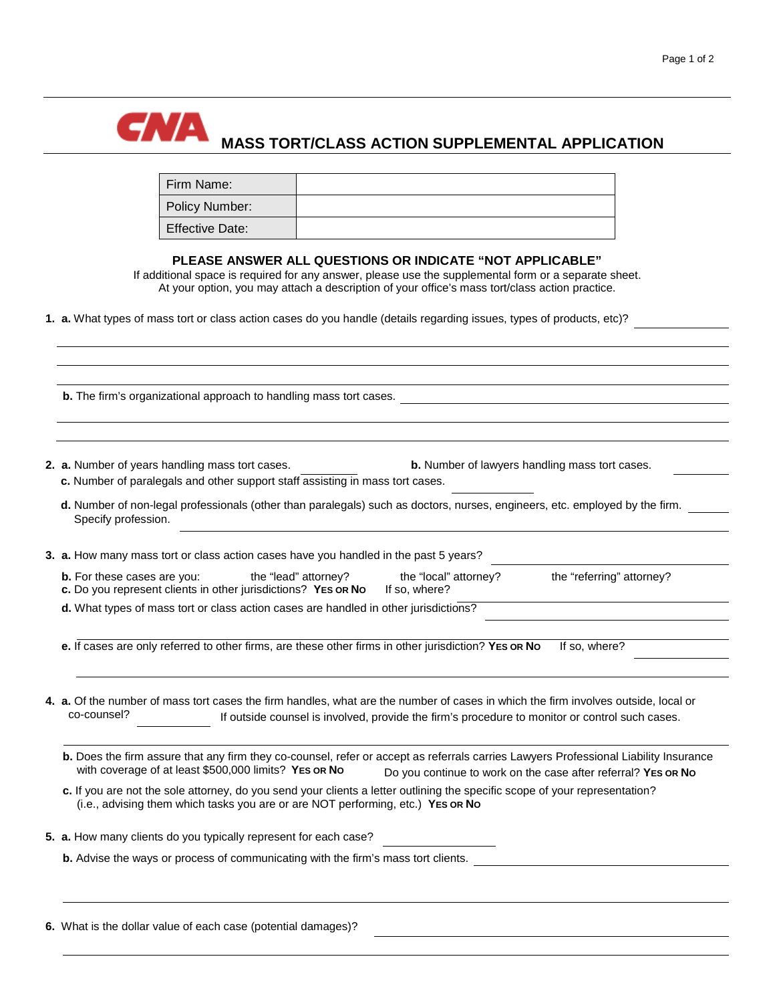

## **CAVA** MASS TORT/CLASS ACTION SUPPLEMENTAL APPLICATION

| Firm Name:             |  |
|------------------------|--|
| Policy Number:         |  |
| <b>Effective Date:</b> |  |

## **PLEASE ANSWER ALL QUESTIONS OR INDICATE "NOT APPLICABLE"**

If additional space is required for any answer, please use the supplemental form or a separate sheet. At your option, you may attach a description of your office's mass tort/class action practice.

**1. a.** What types of mass tort or class action cases do you handle (details regarding issues, types of products, etc)?

| 2. a. Number of years handling mass tort cases.<br><b>b.</b> Number of lawyers handling mass tort cases.<br>c. Number of paralegals and other support staff assisting in mass tort cases.                                                                      |
|----------------------------------------------------------------------------------------------------------------------------------------------------------------------------------------------------------------------------------------------------------------|
| d. Number of non-legal professionals (other than paralegals) such as doctors, nurses, engineers, etc. employed by the firm.<br>Specify profession.                                                                                                             |
| 3. a. How many mass tort or class action cases have you handled in the past 5 years?                                                                                                                                                                           |
| the "lead" attorney?<br>the "local" attorney?<br>the "referring" attorney?<br><b>b.</b> For these cases are you:<br>c. Do you represent clients in other jurisdictions? YES OR No<br>If so, where?                                                             |
| d. What types of mass tort or class action cases are handled in other jurisdictions?                                                                                                                                                                           |
| e. If cases are only referred to other firms, are these other firms in other jurisdiction? YES OR No<br>If so, where?                                                                                                                                          |
| 4. a. Of the number of mass tort cases the firm handles, what are the number of cases in which the firm involves outside, local or<br>co-counsel?<br>If outside counsel is involved, provide the firm's procedure to monitor or control such cases.            |
| b. Does the firm assure that any firm they co-counsel, refer or accept as referrals carries Lawyers Professional Liability Insurance<br>with coverage of at least \$500,000 limits? YES OR No<br>Do you continue to work on the case after referral? YES OR No |
| c. If you are not the sole attorney, do you send your clients a letter outlining the specific scope of your representation?<br>(i.e., advising them which tasks you are or are NOT performing, etc.) YES OR No                                                 |
| 5. a. How many clients do you typically represent for each case?                                                                                                                                                                                               |
| <b>b.</b> Advise the ways or process of communicating with the firm's mass tort clients.                                                                                                                                                                       |

**6.** What is the dollar value of each case (potential damages)?